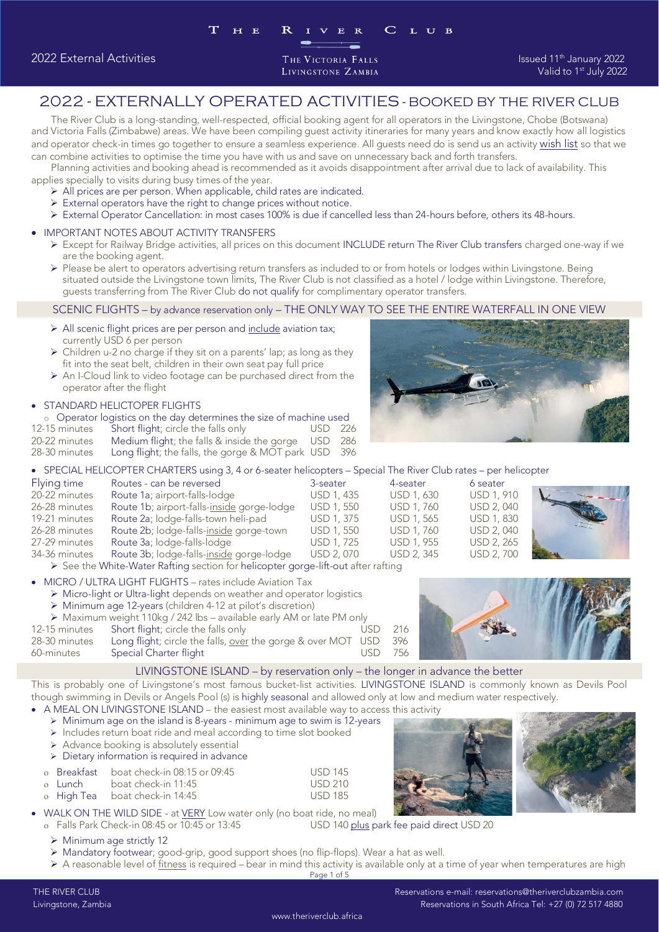## 2022 - EXTERNALLY OPERATED ACTIVITIES - BOOKED BY THE RIVER CLUB

The River Club is a long-standing, well-respected, official booking agent for all operators in the Livingstone, Chobe (Botswana) and operator check-in times go together to ensure a seamless experience. All guests need do is send us an activity wish list so that we can combine activities to optimise the time you have with us and save on unnecessary back and forth transfers.

Planning activities and booking ahead is recommended as it avoids disappointment after arrival due to lack of availability. This applies specially to visits during busy times of the year.

- $\triangleright$  All prices are per person. When applicable, child rates are indicated.<br> $\triangleright$  External operators have the right to change prices without potice
	- ➢ External operators have the right to change prices without notice.
	- ➢ External Operator Cancellation: in most cases 100% is due if cancelled less than 24-hours before, others its 48-hours.

## • IMPORTANT NOTES ABOUT ACTIVITY TRANSFERS

- ➢ Except for Railway Bridge activities, all prices on this document INCLUDE return The River Club transfers charged one-way if we
- are the booking agent. ➢ Please be alert to operators advertising return transfers as included to or from hotels or lodges within Livingstone. Being situated outside the Livingstone town limits, The Livingstone town limits, The Livingstone town limits, The River Club is not classified as a hotel of the River Club is not classified as a hotel of complimentary operator t

guests transferring from The River Club do not qualify for complimentary operator transfers.

- SCENIC FLIGHTS by advance reservation only THE ONLY WAY TO SEE THE ENTIRE WAY TO SEE THE ENTIRE WAY TO SEE ➢ All scenic flight prices are per person and include aviation tax;
- $\triangleright$  Children u-2 no charge if they sit on a parents' lap; as long as they fit into the seat belt, children in their own seat pay full price
- $\triangleright$  An I-Cloud link to video footage can be purchased direct from the operator after the flight

## operator after the flight • STANDARD HELICTOPER FLIGHTS<br>
© Operator logistics on the day deter

| ○ Operator logistics on the day determines the size of machine used |                                                      |         |  |  |  |  |
|---------------------------------------------------------------------|------------------------------------------------------|---------|--|--|--|--|
| 12-15 minutes                                                       | Short flight; circle the falls only                  | USD 226 |  |  |  |  |
| 20-22 minutes                                                       | Medium flight; the falls & inside the gorge USD 286  |         |  |  |  |  |
| 28-30 minutes                                                       | Long flight; the falls, the gorge & MOT park USD 396 |         |  |  |  |  |

28-30 minutes Long flight; the falls, the gorge & MOT park USD 396 • SPECIAL HELICOPTER CHARTERS using 3, 4 or 6-seater helicopters – Special The River Club rates – per helicopter

| Flying time   | Routes - can be reversed                                                                                                                                                                                                                                                                                                                   | 3-seater                 | 4-seater   | 6 seater          |                     |
|---------------|--------------------------------------------------------------------------------------------------------------------------------------------------------------------------------------------------------------------------------------------------------------------------------------------------------------------------------------------|--------------------------|------------|-------------------|---------------------|
| 20-22 minutes | Route 1a; airport-falls-lodge                                                                                                                                                                                                                                                                                                              | USD 1, 435               | USD 1, 630 | <b>USD 1, 910</b> |                     |
| 26-28 minutes | Route 1b; airport-falls-inside gorge-lodge                                                                                                                                                                                                                                                                                                 | <b>USD 1, 550</b>        | USD 1, 760 | <b>USD 2, 040</b> |                     |
| 19-21 minutes | Route 2a; lodge-falls-town heli-pad                                                                                                                                                                                                                                                                                                        | USD 1, 375               | USD 1, 565 | <b>USD 1, 830</b> |                     |
| 26-28 minutes | Route 2b; lodge-falls-inside gorge-town                                                                                                                                                                                                                                                                                                    | <b>USD 1, 550</b>        | USD 1, 760 | USD 2, 040        |                     |
| 27-29 minutes | Route 3a; lodge-falls-lodge                                                                                                                                                                                                                                                                                                                | USD 1, 725               | USD 1, 955 | USD 2, 265        |                     |
| 34-36 minutes | Route 3b; lodge-falls-inside gorge-lodge                                                                                                                                                                                                                                                                                                   | USD 2, 070               | USD 2, 345 | <b>USD 2, 700</b> | <b>ALCOHOL: NEW</b> |
|               | $\mathbf{A} \mathbf{A}$ and $\mathbf{A} \mathbf{A}$ and $\mathbf{A} \mathbf{A}$ and $\mathbf{A} \mathbf{A}$ and $\mathbf{A} \mathbf{A}$ and $\mathbf{A} \mathbf{A}$ and $\mathbf{A} \mathbf{A}$ and $\mathbf{A} \mathbf{A}$ and $\mathbf{A} \mathbf{A}$ and $\mathbf{A} \mathbf{A}$ and $\mathbf{A} \mathbf{A}$ and $\mathbf{A} \mathbf{A$ | <b>THE REAL PROPERTY</b> |            |                   |                     |

→ See the White-Water Rafting section for helicopter gorge-lift-out after rafting<br>
→ See the White-Water Rafting section for helicopter gorge-lift-out after rafting

## • MICRO / ULTRA LIGHT FLIGHTS – rates include Aviation Tax

➢ Micro-light or Ultra-light depends on weather and operator logistics

- ➢ Minimum age 12-years (children 4-12 at pilot's discretion)
- ➢ Maximum weight 110kg / 242 lbs available early AM or late PM only  $216$ 28-30 minutes Long flight; circle the falls, over the gorge & over MOT USD 396 28-30 minutes Special Charter flight in the governments of the gorge & over MOSD 356

LIVINGSTONE ISLAND - by reservation only - the longer in advance the better

This is probably one of Livingstone's most famous bucket-list activities. LIVINGSTONE ISLAND is commonly known as Devils Pool though swimming in Devils or Angels Pool (s) is highly seasonal and allowed only at low and medium water respectively. • A MEAL ON LIVINGSTONE ISLAND – the easiest most available way to access this activity.<br>• Minimum and on the island is  $8$ -vears - minimum and to swim is 12-vears.

- ➢ Minimum age on the island is 8-years minimum age to swim is 12-years
- 
- $\triangleright$  Includes return boat ride and meal according to time slot booked<br> $\triangleright$  Advance booking is absolutely essential
- $\triangleright$  Advance booking is absolutely essential<br> $\triangleright$  Dietary information is required in advanc

| $\triangleright$ Dietary information is required in advance |                                          |                |  |  |  |  |
|-------------------------------------------------------------|------------------------------------------|----------------|--|--|--|--|
|                                                             | o Breakfast boat check-in 08:15 or 09:45 | <b>USD 145</b> |  |  |  |  |
|                                                             | o Lunch boat check-in 11:45              | <b>USD 210</b> |  |  |  |  |
|                                                             | o High Tea boat check-in 14:45           | <b>USD 185</b> |  |  |  |  |
|                                                             |                                          |                |  |  |  |  |





• WALK ON THE WILD SIDE - at  $VERY$  Low water only (no boat ride, no meal)<br>O. Falls Park Check-in 08:45 or 10:45 or 13:45</u> Falls Park Check-in 08:45 or 10:45 or 13:45 USD 140 plus park fee paid direct USD 20

➢ Minimum age strictly 12

➢ Mandatory footwear; good-grip, good support shoes (no flip-flops). Wear a hat as well.

 $\triangleright$  A reasonable level of fitness is required – bear in mind this activity is available only at a time of year when temperatures are high Page 1 of 5 Page 1 of 5

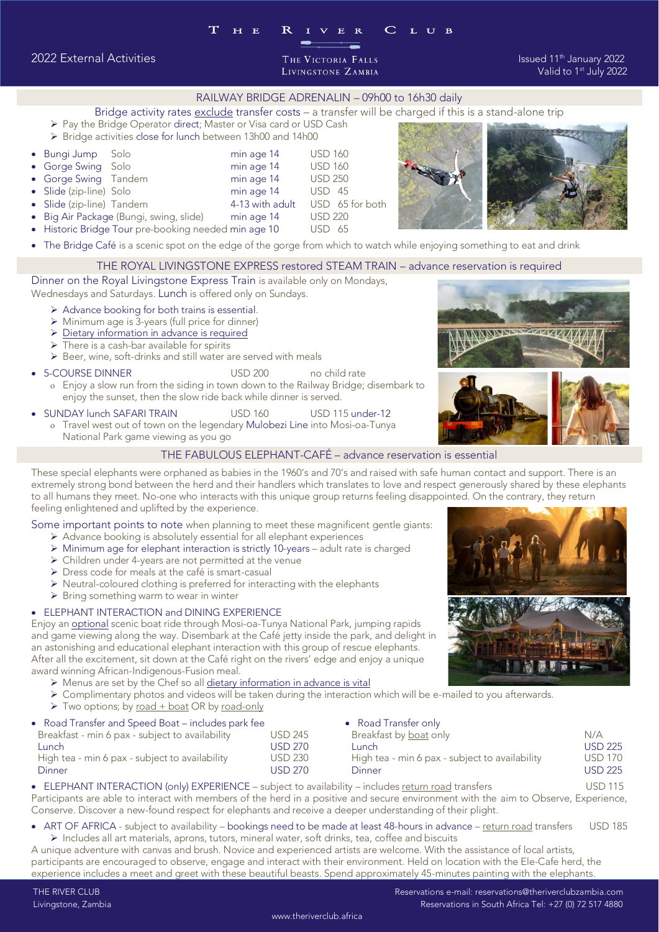RAILWAY BRIDGE ADRENALIN – 09h00 to 16h30 daily<br>Bridge activity rates exclude transfer costs – a transfer will be charged if this is a stand-alone trip

- Bridge activity rates exclude transfer costs a transfer will be charged if this is a stand-alone trip ➢ Pay the Bridge Operator direct; Master or Visa card or USD Cash
- 
- ➢ Bridge activities close for lunch between 13h00 and 14h00 • Bungi Jump Solo min age 14 USD 160 • Gorge Swing Solo min age 14 USD 160 • Gorge Swing Tandem min age 14 USD 250 • Slide (zip-line) Tandem 4-13 with adult USD 65 for both Big Air Package (Bungi, swing, slide) min age 14 USD 220 • Big Air Package (Bungi, swing, slide) min age 14 USD 220 • Historic Bridge Tour pre-booking needed min age 10 USD 65
- 

# The Bridge Café is a scenic spot on the edge of the gorge from which to watch while enjoying something to eat and drink<br>THE ROYAL LIVINGSTONE EXPRESS restored STEAM TRAIN – advance reservation is required

Dinner on the Royal Livingstone Express Train is available only on Mondays, Wednesdays and Saturdays. Lunch is offered only on Sundays.

- 
- → Advance booking for both trains is essential.<br>
→ Advance booking for both trains is essential.<br>
→ Minimum age is 3-years (full price for dinner)
	- ➢ Minimum age is 3-years (full price for dinner)
	- ➢ Dietary information in advance is required  $\triangleright$  There is a cash-bar available for spirits
	-
- ➢ Beer, wine, soft-drinks and still water are served with meals • 5-COURSE DINNER USD 200 no child rate<br>• Frieve a slow run from the siding in town down to the Railway Bridge o Enjoy a slow run from the siding in town down to the Railway Bridge; disembark to<br>enjoy the sunset then the slow ride back while dinner is served
- enjoy the sunset, then the slow ride back while dinner is served.
- SUNDAY lunch SAFARI TRAIN USD 160 USD 115 under-12 o Travel west out of town on the legendary Mulobezi Line into Mosi-oa-Tunya <br>National Park game viewing as you do

# National Park game viewing as you go

These special elephants were orphaned as babies in the 1960's and 70's and raised with safe human contact and support. There is an extremely strong bond between the herd and their handlers which translates to love and respect generously shared by these elephants to all humans they meet. No-one who interacts with this unique group returns feeling disappointed. On the contrary, they return feeling enlightened and uplifted by the experience.

Some important points to note when planning to meet these magnificent gentle giants:

- → Advance booking is absolutely essential for all elephant experiences<br>
→ Minimum age for elephant interaction is strictly 10-years adult rate is charged
	- ➢ Minimum age for elephant interaction is strictly 10-years adult rate is charged
	- ➢ Children under 4-years are not permitted at the venue
	- ➢ Dress code for meals at the café is smart-casual
	- ➢ Neutral-coloured clothing is preferred for interacting with the elephants
	- ➢ Bring something warm to wear in winter

• ELEPHANT INTERACTION and DINING EXPERIENCE<br>Enjoy an <u>optional</u> scenic boat ride through Mosi-oa-Tunya National Park, jumping rapids and game viewing along the way. Disembark at the Café jetty inside the park, and delight in an astonishing and educational elephant interaction with this group of rescue elephants. After all the excitement, sit down at the Café right on the rivers' edge and enjoy a unique award winning African-Indigenous-Fusion meal.

- $\triangleright$  Menus are set by the Chef so all dietary information in advance is vital.<br> $\triangleright$  Complimentary photos and videos will be taken during the interaction
	- ➢ Complimentary photos and videos will be taken during the interaction which will be e-mailed to you afterwards.
	- > Two options; by road + boat OR by road-only

| Road Transfer and Speed Boat - includes park fee |         | • Road Transfer only                           |                |  |
|--------------------------------------------------|---------|------------------------------------------------|----------------|--|
| Breakfast - min 6 pax - subject to availability  | USD 245 | Breakfast by <u>boat</u> only                  | N/A            |  |
| Lunch                                            | USD 270 | Lunch.                                         | <b>USD 225</b> |  |
| High tea - min 6 pax - subject to availability   | USD 230 | High tea - min 6 pax - subject to availability | <b>USD 170</b> |  |
| Dinner                                           | USD 270 | Dinner                                         | USD 225        |  |
|                                                  |         |                                                |                |  |

• ELEPHANT INTERACTION (only) EXPERIENCE – subject to availability – includes <u>return road</u> transfers USD 115<br>Participants are able to interact with members of the berd in a positive and secure environment with the aim to Participants are able to interact with members of the herd in a positive and secure environment with the aim to Observe, Experience,<br>Conserve. Discover a new-found respect for elephants and receive a deeper understanding o

• ART OF AFRICA - subject to availability – bookings need to be made at least 48-hours in advance – <u>return road</u> transfers USD 185<br>Includes all art materials, aprops tutors, mineral water, soft drinks, tea, coffee and bi

➢ Includes all art materials, aprons, tutors, mineral water, soft drinks, tea, coffee and biscuits participants are encouraged to observe, engage and interact with their environment. Held on location with the Ele-Cafe herd, the participants are encouraged to observe the observed to observe the control of the state of the Elements of the Elements of the Elements of the Elements of the Elements of the Elements of the Elements of the Elements of the experience includes a meet and greet with these beautiful beasts. Spend approximately 45-minutes painting with the elephants.







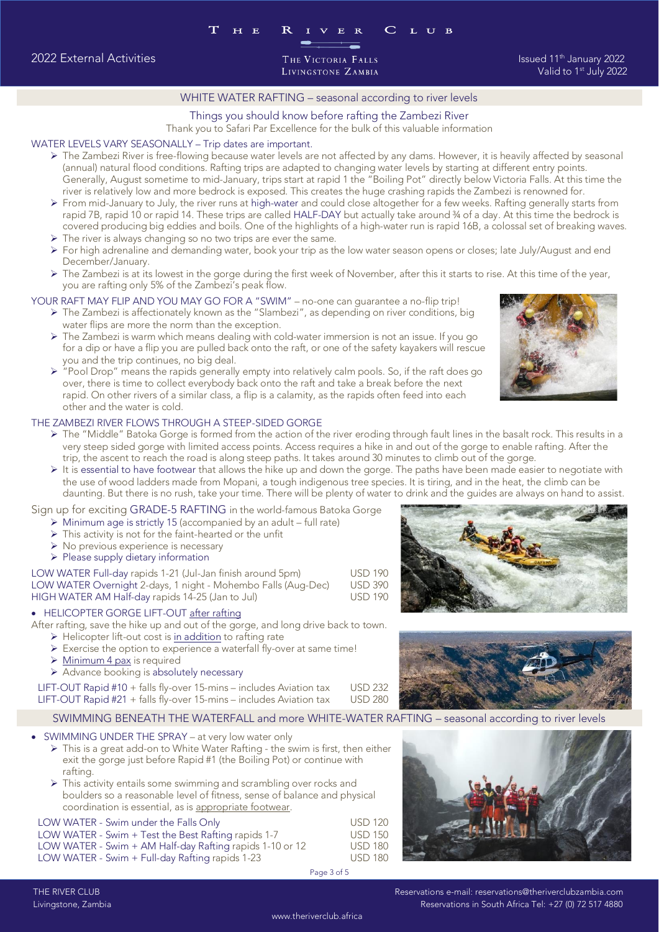Valid to 1<sup>st</sup> July 2022

# WHITE WATER RAFTING – seasonal according to river levels<br>Things you should know before rafting the Zambezi River

Thank you to Safari Par Excellence for the bulk of this valuable information

## WATER LEVELS VARY SEASONALLY - Trip dates are important.

- $\triangleright$  The Zambezi River is free-flowing because water levels are not affected by any dams. However, it is heavily affected by seasonal (annual) natural flood conditions. Rafting trips are adapted to changing water levels (annual) natural flood conditions. Rafting trips are adapted to changing water levels by starting at different entry points. river is relatively low and more bedrock is exposed. This creates the huge crashing rapids the Zambezi is renowned for.
	- From mid-January to July, the river runs at high-water and could close altogether for a few weeks. Rafting generally starts from rapid 7B, rapid 10 or rapid 14. These trips are called HAI E-DAY but actually take around 34 rapid 7B, rapid 10 or rapid 14. These trips are called HALF-DAY but actually take around ¾ of a day. At this time the bedrock is<br>covered producing big eddies and boils. One of the highlights of a high-water run is rapid 16 > The river is always changing so no two trips are ever the same.<br>► For high adrenaline and demanding water, book your trip as the low water season opens or closes: late, luly/August and end
	-
	- ➢ For high adrenaline and demanding water, book your trip as the low water season opens or closes; late July/August and end
	- > The Zambezi is at its lowest in the gorge during the first week of November, after this it starts to rise. At this time of the year,<br>vou are rafting only 5% of the Zambezi's peak flow.

# you are rafting only 5% of the Zambezi's peak flow.<br>YOUR RAFT MAY FLIP AND YOU MAY GO FOR A "SWIM" – no-one can quarantee a no-flip trip!

- $\triangleright$  The Zambezi is affectionately known as the "Slambezi", as depending on river conditions, big water flips are more the norm than the exception
	- $\triangleright$  The Zambezi is warm which means dealing with cold-water immersion is not an issue. If you go<br>for a dip or baye a flip you are pulled back onto the raft or one of the safety kavakers will rescu for a dip or have a flip you are pulled back onto the raft, or one of the safety kayakers will rescue<br>you and the trip continues, no big deal.
	- $\triangleright$  "Pool Drop" means the rapids generally empty into relatively calm pools. So, if the raft does go<br>over there is time to collect everybody back onto the raft and take a break before the next over, there is time to collect everybody back onto the raft and take a break before the next<br>rapid. On other rivers of a similar class, a flip is a calamity, as the rapids often feed into each other and the water is cold.

## THE ZAMBEZI RIVER FLOWS THROUGH A STEEP-SIDED GORGE

- $\triangleright$  The "Middle" Batoka Gorge is formed from the action of the river eroding through fault lines in the basalt rock. This results in a<br>very steep-sided gorge with limited access points. Access requires a bike in and ou very steep sided gorge with limited access points. Access requires a hike in and out of the gorge to enable rafting. After the trip, the ascent to reach the road is along steep paths. It takes around 30 minutes to climb ou
	- It is essential to have footwear that allows the hike up and down the gorge. The paths have been made easier to negotiate with the use of wood ladders made from Monani, a tough indigenous tree species. It is tiring, and in the use of wood ladders made from Mopani, a tough indigenous tree species. It is tiring, and in the heat, the climb can be<br>daunting. But there is no rush, take your time. There will be plenty of water to drink and the guid

## Sign up for exciting GRADE-5 RAFTING in the world-famous Batoka Gorge

- $\triangleright$  Minimum age is strictly 15 (accompanied by an adult full rate)<br> $\triangleright$  This activity is not for the faint-hearted or the unfit
	- ➢ This activity is not for the faint-hearted or the unfit
	- ➢ No previous experience is necessary
	-

▶ Please supply dietary information<br>LOW WATER Full-day rapids 1-21 (Jul-Jan finish around 5pm) **USD 190** LOW WATER Overnight 2-days, 1 night - Mohembo Falls (Aug-Dec) USD 390 HIGH WATER AM Half-day rapids 14-25 (Jan to Jul) USD 190

• HELICOPTER GORGE LIFT-OUT <u>after rafting</u><br>• HELICOPTER GORGE LIFT-OUT <u>after rafting</u><br>After rafting issue the bike up and out of the gorge, and long drive back to town.

- $\triangleright$  Helicopter lift-out cost is <u>in addition</u> to rafting rate<br> $\triangleright$  Exercise the option to experience a waterfall fly-over at same timel
	- ➢ Exercise the option to experience a waterfall fly-over at same time!
	- ➢ Minimum 4 pax is required
	-

➢ Advance booking is absolutely necessary **USD 232** LIFT-OUT Rapid  $#21 + falls$  fly-over 15-mins – includes Aviation tax USD 280

SWIMMING BENEATH THE WATERFALL and more WHITE-WATER RAFTING - seasonal according to river levels  $S_{\text{SFR}}$  smith the waterfall and more white-water  $\frac{1}{2}$  according to river levels according to river levels and  $\frac{1}{2}$  according to river levels and  $\frac{1}{2}$  according to river levels and  $\frac{1}{2}$  according to

# • SWIMMING UNDER THE SPRAY – at very low water only<br>• This is a great add-on to White Water Rafting , the s

- ➢ This is a great add-on to White Water Rafting the swim is first, then either exit the gorge just before Rapid #1 (the Boiling Pot) or continue with
- ▶ This activity entails some swimming and scrambling over rocks and<br>boulders so a reasonable level of fitness, sense of balance and phy boulders so a reasonable level of fitness, sense of balance and physical

LOW WATER - Swim under the Falls Only LOW WATER - Swim under the Falls Only USD 120<br>LOW WATER - Swim + Test the Best Rafting rapids 1-7 USD 150 LOW WATER - Swim + AM Half-day Rafting rapids 1-10 or 12 USD 180 LOW WATER - Swim + Full-day Rafting rapids 1-23 USD 180  $\mathbb{R}^2$  water  $\mathbb{R}^2$  and  $\mathbb{R}^2$  users in Full-day Rafting rapids 1-23 USD 180 USD 180 USD 180 USD 180 USD 180 USD 180 USD 180 USD 180 USD 180 USD 180 USD 180 USD 180 USD 180 USD 180 USD 180 USD 180 USD 180 USD

Page 3 of 5







# 2022 External Activities The Control of the Victoria Palls and the State of The State of The January 2022<br>2022 Valid to 1<sup>st</sup> July 2022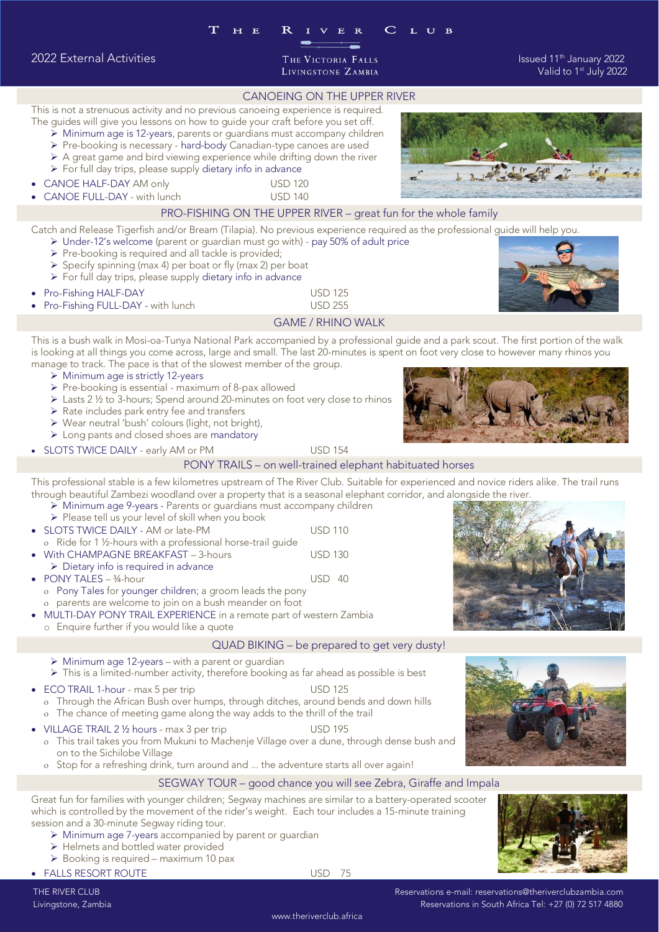CANOEING ON THE UPPER RIVER<br>This is not a strenuous activity and no previous canoeing experience is required.

- The guides will give you lessons on how to guide your craft before you set off.
- → Minimum age is 12-years, parents or guardians must accompany children<br>
► Pre-booking is necessary bard-body Canadian-type canoes are used
	- ➢ Pre-booking is necessary hard-body Canadian-type canoes are used
	- ➢ A great game and bird viewing experience while drifting down the river
	- ➢ For full day trips, please supply dietary info in advance
- CANOE HALF-DAY AM only USD 120
	-



Catch and Release Tigerfish and/or Bream (Tilapia). No previous experience required as the professional quide will help you.

- → Under-12's welcome (parent or guardian must go with) pay 50% of adult price<br>► Pre-booking is required and all tackle is provided:
	- ➢ Pre-booking is required and all tackle is provided;
	- ➢ Specify spinning (max 4) per boat or fly (max 2) per boat
	- ➢ For full day trips, please supply dietary info in advance
- 
- Pro-Fishing HALF-DAY USD 125 • Pro-Fishing FULL-DAY - with lunch USD 255<br>GAME / RHINO WALK

This is a bush walk in Mosi-oa-Tunya National Park accompanied by a professional quide and a park scout. The first portion of the walk is looking at all things you come across, large and small. The last 20-minutes is spent on foot very close to however many rhinos you manage to track. The pace is that of the slowest member of the group.

- 
- $\triangleright$  Minimum age is strictly 12-years<br> $\triangleright$  Pre-booking is essential maximum of 8-pax allowed. ➢ Pre-booking is essential - maximum of 8-pax allowed
	- ➢ Lasts 2 ½ to 3-hours; Spend around 20-minutes on foot very close to rhinos
	- ➢ Rate includes park entry fee and transfers
	- ➢ Wear neutral 'bush' colours (light, not bright),
	- ➢ Long pants and closed shoes are mandatory
- 

• SLOTS TWICE DAILY - early AM or PM USD 154<br>PONY TRAILS – on well-trained elephant habituated horses

This professional stable is a few kilometres upstream of The River Club. Suitable for experienced and novice riders alike. The trail runs through beautiful Zambezi woodland over a property that is a seasonal elephant corridor, and alongside the river.

- → Minimum age 9-years Parents or guardians must accompany children<br>
➢ Minimum age 9-years Parents or guardians must accompany children.<br>
▷ Please tell us your level of skill when you book
	- ➢ Please tell us your level of skill when you book
- SLOTS TWICE DAILY AM or late-PM USD 110<br>  $\alpha$  Ride for 1 <sup>1</sup>/<sub>2</sub>-bours with a professional borse-trail quide
- o Ride for 1 ½-hours with a professional horse-trail guide<br>With CHAMPAGNE BREAKEAST 3-hours
- With CHAMPAGNE BREAKFAST 3-hours USD 130
- $\triangleright$  Dietary info is required in advance<br>PONY TALES 34-hour
- 
- PONY TALES  $\frac{34 \text{ hour}}{40 \text{ cm}^2}$  USD 40 o Pony Tales for younger children; a groom leads the pony<br>o parents are welcome to join on a bush meander on foot parents are welcome to join on a bush meander on foot
	- MULTI-DAY PONY TRAIL EXPERIENCE in a remote part of western Zambia
	- <sup>o</sup> Enquire further if you would like a quote

## QUAD BIKING – be prepared to get very dusty!

- ➢ Minimum age 12-years with a parent or guardian
- ➢ This is a limited-number activity, therefore booking as far ahead as possible is best
- 
- $\degree$  ECO TRAIL 1-hour max 5 per trip USD 125 USD 125  $\degree$  USD 125 o Through the African Bush over humps, through ditches, around bends and down hills<br>o The chance of meeting game along the way adds to the thrill of the trail
- o The chance of meeting game along the way adds to the thrill of the trail<br>VILLAGE TRAIL 2 1/2 hours max 3 per trip USD 195
- VILLAGE TRAIL  $2\frac{1}{2}$  hours max 3 per trip
	- This trail takes you from Mukuni to Machenje Village over a dune, through dense bush and
	- o Stop for a refreshing drink, turn around and ... the adventure starts all over again!

SEGWAY TOUR – good chance you will see Zebra, Giraffe and Impala<br>Great fun for families with younger children; Segway machines are similar to a battery-operated scooter which is controlled by the movement of the rider's weight. Each tour includes a 15-minute training session and a 30-minute Seqway riding tour.

- session and a 30-minute Segway riding tour. ➢ Minimum age 7-years accompanied by parent or guardian
	- ➢ Helmets and bottled water provided
	- ➢ Booking is required maximum 10 pax

• FALLS RESORT ROUTE USD 75